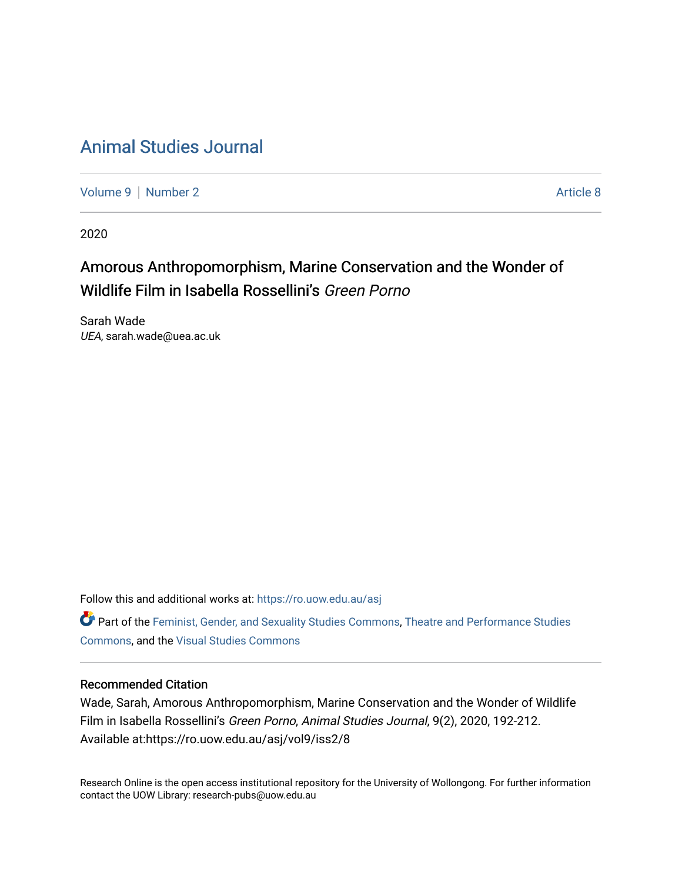# [Animal Studies Journal](https://ro.uow.edu.au/asj)

[Volume 9](https://ro.uow.edu.au/asj/vol9) | [Number 2](https://ro.uow.edu.au/asj/vol9/iss2) Article 8

2020

# Amorous Anthropomorphism, Marine Conservation and the Wonder of Wildlife Film in Isabella Rossellini's Green Porno

Sarah Wade UEA, sarah.wade@uea.ac.uk

Follow this and additional works at: [https://ro.uow.edu.au/asj](https://ro.uow.edu.au/asj?utm_source=ro.uow.edu.au%2Fasj%2Fvol9%2Fiss2%2F8&utm_medium=PDF&utm_campaign=PDFCoverPages) 

Part of the [Feminist, Gender, and Sexuality Studies Commons](http://network.bepress.com/hgg/discipline/559?utm_source=ro.uow.edu.au%2Fasj%2Fvol9%2Fiss2%2F8&utm_medium=PDF&utm_campaign=PDFCoverPages), Theatre and Performance Studies [Commons](http://network.bepress.com/hgg/discipline/552?utm_source=ro.uow.edu.au%2Fasj%2Fvol9%2Fiss2%2F8&utm_medium=PDF&utm_campaign=PDFCoverPages), and the [Visual Studies Commons](http://network.bepress.com/hgg/discipline/564?utm_source=ro.uow.edu.au%2Fasj%2Fvol9%2Fiss2%2F8&utm_medium=PDF&utm_campaign=PDFCoverPages) 

### Recommended Citation

Wade, Sarah, Amorous Anthropomorphism, Marine Conservation and the Wonder of Wildlife Film in Isabella Rossellini's Green Porno, Animal Studies Journal, 9(2), 2020, 192-212. Available at:https://ro.uow.edu.au/asj/vol9/iss2/8

Research Online is the open access institutional repository for the University of Wollongong. For further information contact the UOW Library: research-pubs@uow.edu.au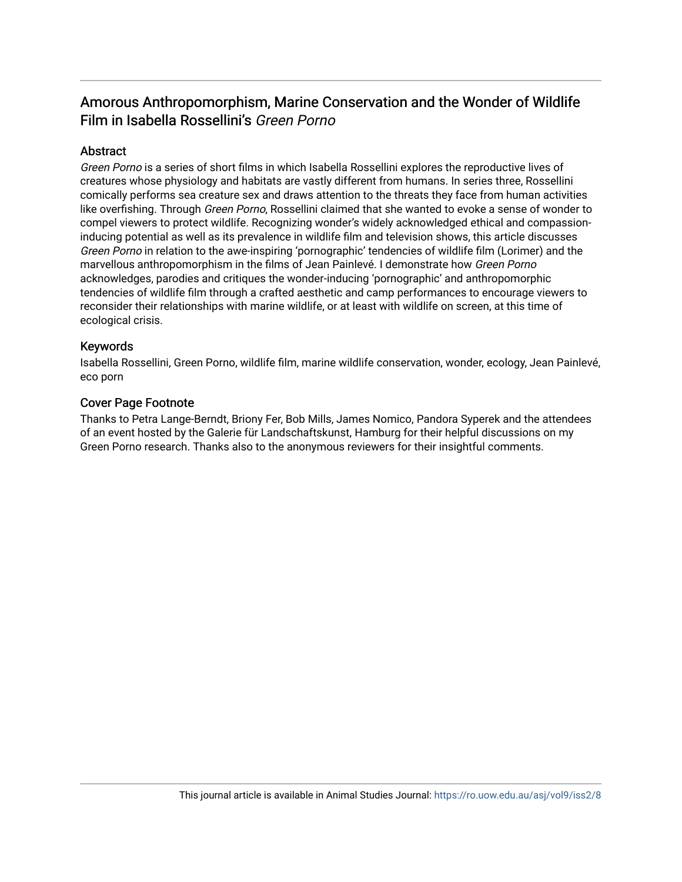## Amorous Anthropomorphism, Marine Conservation and the Wonder of Wildlife Film in Isabella Rossellini's Green Porno

### **Abstract**

Green Porno is a series of short films in which Isabella Rossellini explores the reproductive lives of creatures whose physiology and habitats are vastly different from humans. In series three, Rossellini comically performs sea creature sex and draws attention to the threats they face from human activities like overfishing. Through Green Porno, Rossellini claimed that she wanted to evoke a sense of wonder to compel viewers to protect wildlife. Recognizing wonder's widely acknowledged ethical and compassioninducing potential as well as its prevalence in wildlife film and television shows, this article discusses Green Porno in relation to the awe-inspiring 'pornographic' tendencies of wildlife film (Lorimer) and the marvellous anthropomorphism in the films of Jean Painlevé. I demonstrate how Green Porno acknowledges, parodies and critiques the wonder-inducing 'pornographic' and anthropomorphic tendencies of wildlife film through a crafted aesthetic and camp performances to encourage viewers to reconsider their relationships with marine wildlife, or at least with wildlife on screen, at this time of ecological crisis.

### Keywords

Isabella Rossellini, Green Porno, wildlife film, marine wildlife conservation, wonder, ecology, Jean Painlevé, eco porn

### Cover Page Footnote

Thanks to Petra Lange-Berndt, Briony Fer, Bob Mills, James Nomico, Pandora Syperek and the attendees of an event hosted by the Galerie für Landschaftskunst, Hamburg for their helpful discussions on my Green Porno research. Thanks also to the anonymous reviewers for their insightful comments.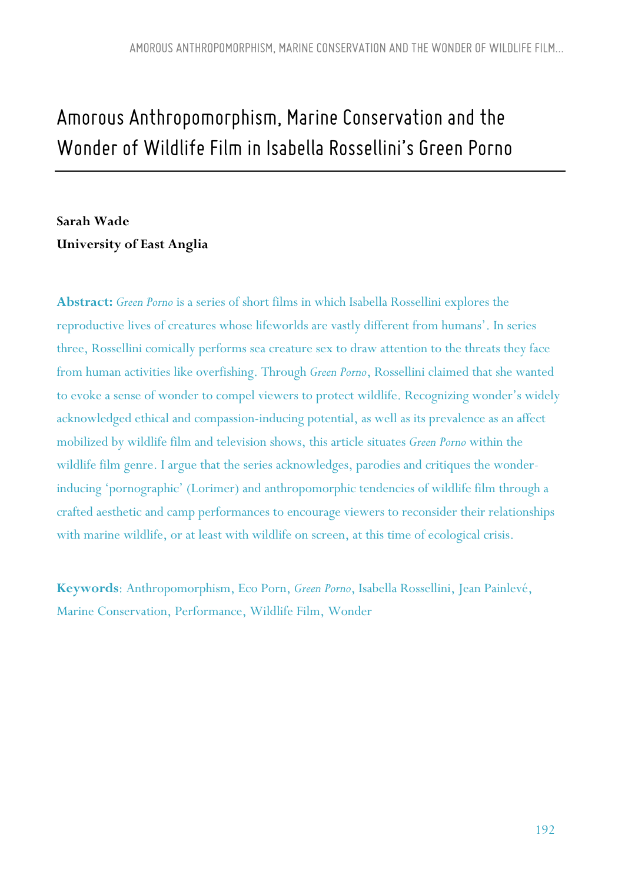# *Amorous Anthropomorphism, Marine Conservationand the Wonder of Wildlife Film inIsabella Rossellini's Green Porno*

# **Sarah Wade University of East Anglia**

**Abstract:** *Green Porno* is a series of short films in which Isabella Rossellini explores the reproductive lives of creatures whose lifeworlds are vastly different from humans'. In series three, Rossellini comically performs sea creature sex to draw attention to the threats they face from human activities like overfishing. Through *Green Porno*, Rossellini claimed that she wanted to evoke a sense of wonder to compel viewers to protect wildlife. Recognizing wonder's widely acknowledged ethical and compassion-inducing potential, as well as its prevalence as an affect mobilized by wildlife film and television shows, this article situates *Green Porno* within the wildlife film genre. I argue that the series acknowledges, parodies and critiques the wonderinducing 'pornographic' (Lorimer) and anthropomorphic tendencies of wildlife film through a crafted aesthetic and camp performances to encourage viewers to reconsider their relationships with marine wildlife, or at least with wildlife on screen, at this time of ecological crisis.

**Keywords**: Anthropomorphism, Eco Porn, *Green Porno*, Isabella Rossellini, Jean Painlevé, Marine Conservation, Performance, Wildlife Film, Wonder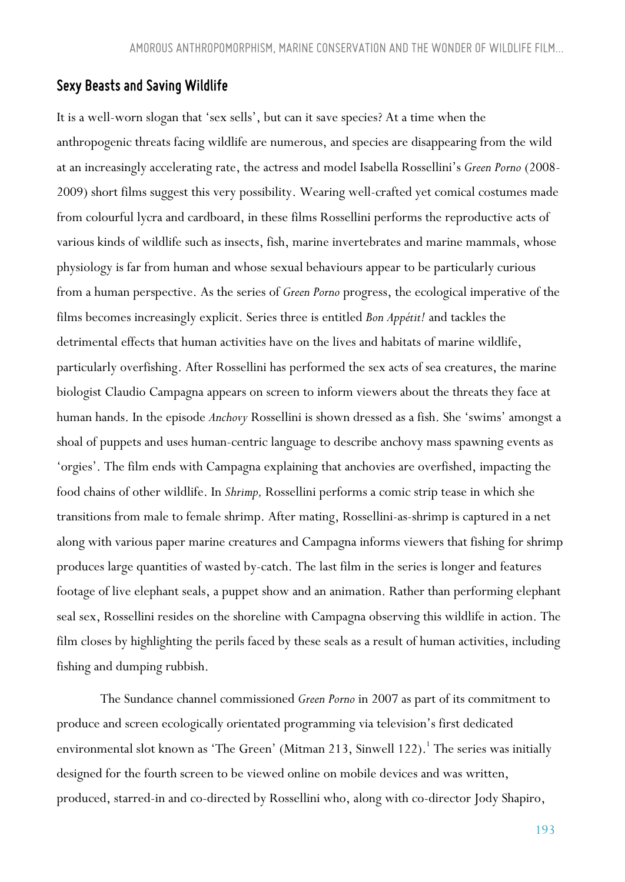#### *Sexy Beasts and Saving Wildlife*

It is a well-worn slogan that 'sex sells', but can it save species? At a time when the anthropogenic threats facing wildlife are numerous, and species are disappearing from the wild at an increasingly accelerating rate, the actress and model Isabella Rossellini's *Green Porno* (2008- 2009) short films suggest this very possibility. Wearing well-crafted yet comical costumes made from colourful lycra and cardboard, in these films Rossellini performs the reproductive acts of various kinds of wildlife such as insects, fish, marine invertebrates and marine mammals, whose physiology is far from human and whose sexual behaviours appear to be particularly curious from a human perspective. As the series of *Green Porno* progress, the ecological imperative of the films becomes increasingly explicit. Series three is entitled *Bon Appétit!* and tackles the detrimental effects that human activities have on the lives and habitats of marine wildlife, particularly overfishing. After Rossellini has performed the sex acts of sea creatures, the marine biologist Claudio Campagna appears on screen to inform viewers about the threats they face at human hands. In the episode *Anchovy* Rossellini is shown dressed as a fish. She 'swims' amongst a shoal of puppets and uses human-centric language to describe anchovy mass spawning events as 'orgies'. The film ends with Campagna explaining that anchovies are overfished, impacting the food chains of other wildlife. In *Shrimp,* Rossellini performs a comic strip tease in which she transitions from male to female shrimp. After mating, Rossellini-as-shrimp is captured in a net along with various paper marine creatures and Campagna informs viewers that fishing for shrimp produces large quantities of wasted by-catch. The last film in the series is longer and features footage of live elephant seals, a puppet show and an animation. Rather than performing elephant seal sex, Rossellini resides on the shoreline with Campagna observing this wildlife in action. The film closes by highlighting the perils faced by these seals as a result of human activities, including fishing and dumping rubbish.

The Sundance channel commissioned *Green Porno* in 2007 as part of its commitment to produce and screen ecologically orientated programming via television's first dedicated environmental slot known as 'The Green' (Mitman 213, Sinwell 122).<sup>1</sup> The series was initially designed for the fourth screen to be viewed online on mobile devices and was written, produced, starred-in and co-directed by Rossellini who, along with co-director Jody Shapiro,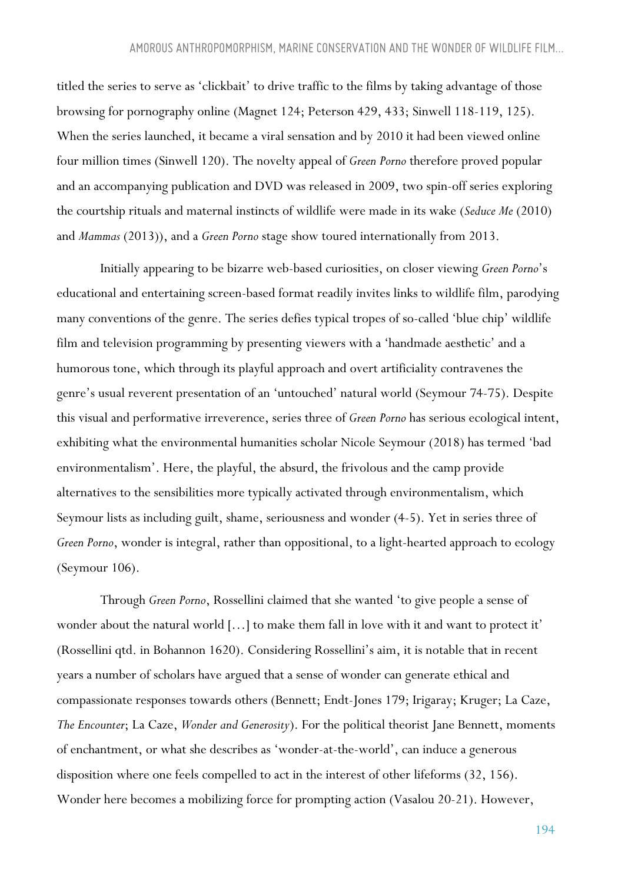titled the series to serve as 'clickbait' to drive traffic to the films by taking advantage of those browsing for pornography online (Magnet 124; Peterson 429, 433; Sinwell 118-119, 125). When the series launched, it became a viral sensation and by 2010 it had been viewed online four million times (Sinwell 120). The novelty appeal of *Green Porno* therefore proved popular and an accompanying publication and DVD was released in 2009, two spin-off series exploring the courtship rituals and maternal instincts of wildlife were made in its wake (*Seduce Me* (2010) and *Mammas* (2013)), and a *Green Porno* stage show toured internationally from 2013.

Initially appearing to be bizarre web-based curiosities, on closer viewing *Green Porno*'s educational and entertaining screen-based format readily invites links to wildlife film, parodying many conventions of the genre. The series defies typical tropes of so-called 'blue chip' wildlife film and television programming by presenting viewers with a 'handmade aesthetic' and a humorous tone, which through its playful approach and overt artificiality contravenes the genre's usual reverent presentation of an 'untouched' natural world (Seymour 74-75). Despite this visual and performative irreverence, series three of *Green Porno* has serious ecological intent, exhibiting what the environmental humanities scholar Nicole Seymour (2018) has termed 'bad environmentalism'. Here, the playful, the absurd, the frivolous and the camp provide alternatives to the sensibilities more typically activated through environmentalism, which Seymour lists as including guilt, shame, seriousness and wonder (4-5). Yet in series three of *Green Porno*, wonder is integral, rather than oppositional, to a light-hearted approach to ecology (Seymour 106).

Through *Green Porno*, Rossellini claimed that she wanted 'to give people a sense of wonder about the natural world  $[...]$  to make them fall in love with it and want to protect it' (Rossellini qtd. in Bohannon 1620). Considering Rossellini's aim, it is notable that in recent years a number of scholars have argued that a sense of wonder can generate ethical and compassionate responses towards others (Bennett; Endt-Jones 179; Irigaray; Kruger; La Caze, *The Encounter*; La Caze, *Wonder and Generosity*). For the political theorist Jane Bennett, moments of enchantment, or what she describes as 'wonder-at-the-world', can induce a generous disposition where one feels compelled to act in the interest of other lifeforms (32, 156). Wonder here becomes a mobilizing force for prompting action (Vasalou 20-21). However,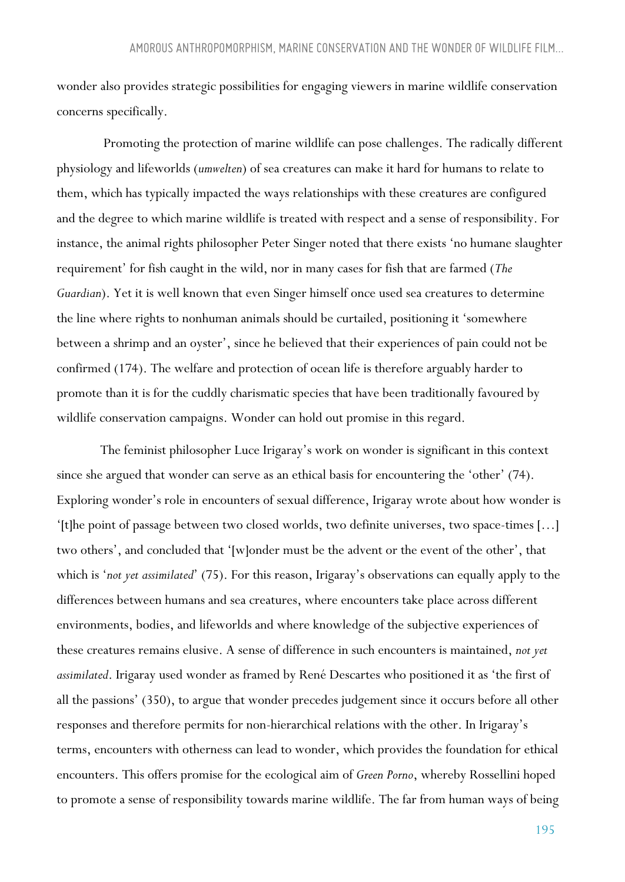wonder also provides strategic possibilities for engaging viewers in marine wildlife conservation concerns specifically.

Promoting the protection of marine wildlife can pose challenges. The radically different physiology and lifeworlds (*umwelten*) of sea creatures can make it hard for humans to relate to them, which has typically impacted the ways relationships with these creatures are configured and the degree to which marine wildlife is treated with respect and a sense of responsibility. For instance, the animal rights philosopher Peter Singer noted that there exists 'no humane slaughter requirement' for fish caught in the wild, nor in many cases for fish that are farmed (*The Guardian*). Yet it is well known that even Singer himself once used sea creatures to determine the line where rights to nonhuman animals should be curtailed, positioning it 'somewhere between a shrimp and an oyster', since he believed that their experiences of pain could not be confirmed (174). The welfare and protection of ocean life is therefore arguably harder to promote than it is for the cuddly charismatic species that have been traditionally favoured by wildlife conservation campaigns. Wonder can hold out promise in this regard.

The feminist philosopher Luce Irigaray's work on wonder is significant in this context since she argued that wonder can serve as an ethical basis for encountering the 'other' (74). Exploring wonder's role in encounters of sexual difference, Irigaray wrote about how wonder is '[t]he point of passage between two closed worlds, two definite universes, two space-times […] two others', and concluded that '[w]onder must be the advent or the event of the other', that which is '*not yet assimilated*' (75). For this reason, Irigaray's observations can equally apply to the differences between humans and sea creatures, where encounters take place across different environments, bodies, and lifeworlds and where knowledge of the subjective experiences of these creatures remains elusive. A sense of difference in such encounters is maintained, *not yet assimilated*. Irigaray used wonder as framed by René Descartes who positioned it as 'the first of all the passions' (350), to argue that wonder precedes judgement since it occurs before all other responses and therefore permits for non-hierarchical relations with the other. In Irigaray's terms, encounters with otherness can lead to wonder, which provides the foundation for ethical encounters. This offers promise for the ecological aim of *Green Porno*, whereby Rossellini hoped to promote a sense of responsibility towards marine wildlife. The far from human ways of being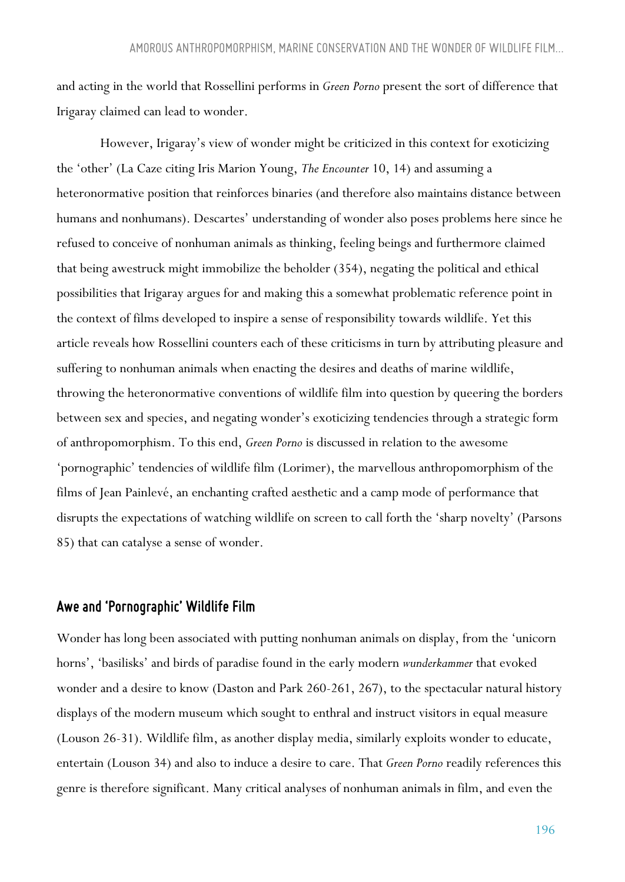and acting in the world that Rossellini performs in *Green Porno* present the sort of difference that Irigaray claimed can lead to wonder.

However, Irigaray's view of wonder might be criticized in this context for exoticizing the 'other' (La Caze citing Iris Marion Young, *The Encounter* 10, 14) and assuming a heteronormative position that reinforces binaries (and therefore also maintains distance between humans and nonhumans). Descartes' understanding of wonder also poses problems here since he refused to conceive of nonhuman animals as thinking, feeling beings and furthermore claimed that being awestruck might immobilize the beholder (354), negating the political and ethical possibilities that Irigaray argues for and making this a somewhat problematic reference point in the context of films developed to inspire a sense of responsibility towards wildlife. Yet this article reveals how Rossellini counters each of these criticisms in turn by attributing pleasure and suffering to nonhuman animals when enacting the desires and deaths of marine wildlife, throwing the heteronormative conventions of wildlife film into question by queering the borders between sex and species, and negating wonder's exoticizing tendencies through a strategic form of anthropomorphism. To this end, *Green Porno* is discussed in relation to the awesome 'pornographic' tendencies of wildlife film (Lorimer), the marvellous anthropomorphism of the films of Jean Painlevé, an enchanting crafted aesthetic and a camp mode of performance that disrupts the expectations of watching wildlife on screen to call forth the 'sharp novelty' (Parsons 85) that can catalyse a sense of wonder.

#### *Awe and 'Pornographic' Wildlife Film*

Wonder has long been associated with putting nonhuman animals on display, from the 'unicorn horns', 'basilisks' and birds of paradise found in the early modern *wunderkammer* that evoked wonder and a desire to know (Daston and Park 260-261, 267), to the spectacular natural history displays of the modern museum which sought to enthral and instruct visitors in equal measure (Louson 26-31). Wildlife film, as another display media, similarly exploits wonder to educate, entertain (Louson 34) and also to induce a desire to care. That *Green Porno* readily references this genre is therefore significant. Many critical analyses of nonhuman animals in film, and even the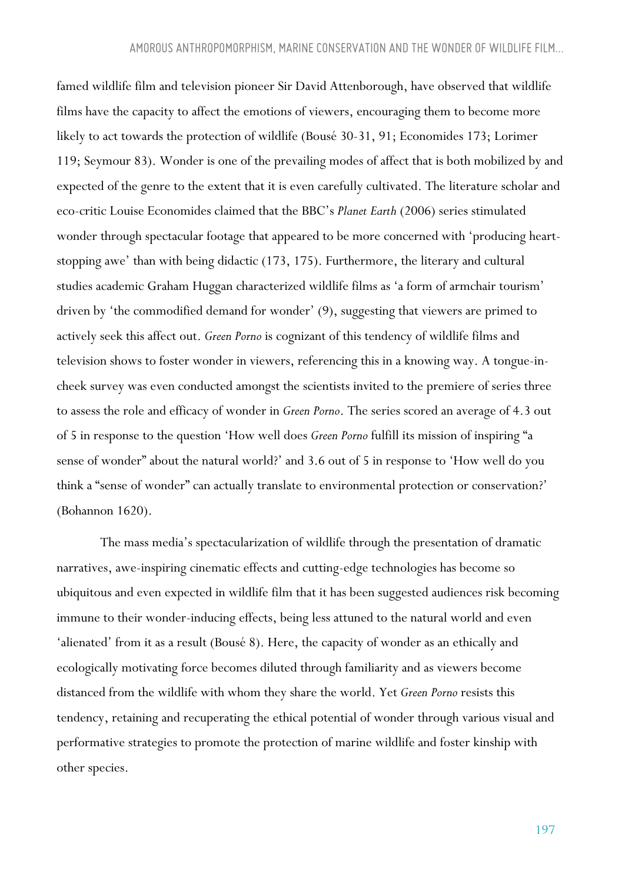famed wildlife film and television pioneer Sir David Attenborough, have observed that wildlife films have the capacity to affect the emotions of viewers, encouraging them to become more likely to act towards the protection of wildlife (Bousé 30-31, 91; Economides 173; Lorimer 119; Seymour 83). Wonder is one of the prevailing modes of affect that is both mobilized by and expected of the genre to the extent that it is even carefully cultivated. The literature scholar and eco-critic Louise Economides claimed that the BBC's *Planet Earth* (2006) series stimulated wonder through spectacular footage that appeared to be more concerned with 'producing heartstopping awe' than with being didactic (173, 175). Furthermore, the literary and cultural studies academic Graham Huggan characterized wildlife films as 'a form of armchair tourism' driven by 'the commodified demand for wonder' (9), suggesting that viewers are primed to actively seek this affect out. *Green Porno* is cognizant of this tendency of wildlife films and television shows to foster wonder in viewers, referencing this in a knowing way. A tongue-incheek survey was even conducted amongst the scientists invited to the premiere of series three to assess the role and efficacy of wonder in *Green Porno*. The series scored an average of 4.3 out of 5 in response to the question 'How well does *Green Porno* fulfill its mission of inspiring "a sense of wonder" about the natural world?' and 3.6 out of 5 in response to 'How well do you think a "sense of wonder" can actually translate to environmental protection or conservation?' (Bohannon 1620).

The mass media's spectacularization of wildlife through the presentation of dramatic narratives, awe-inspiring cinematic effects and cutting-edge technologies has become so ubiquitous and even expected in wildlife film that it has been suggested audiences risk becoming immune to their wonder-inducing effects, being less attuned to the natural world and even 'alienated' from it as a result (Bousé 8). Here, the capacity of wonder as an ethically and ecologically motivating force becomes diluted through familiarity and as viewers become distanced from the wildlife with whom they share the world. Yet *Green Porno* resists this tendency, retaining and recuperating the ethical potential of wonder through various visual and performative strategies to promote the protection of marine wildlife and foster kinship with other species.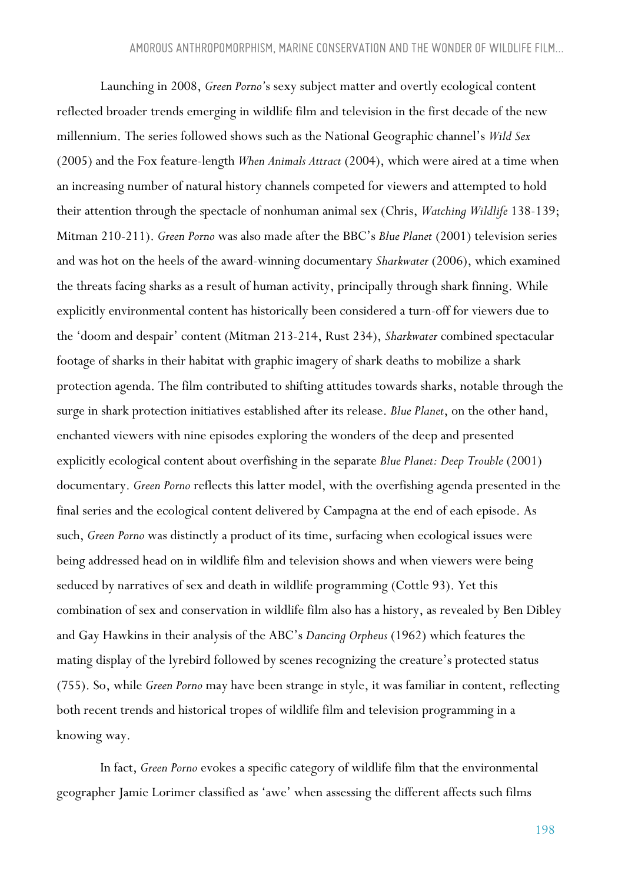Launching in 2008, *Green Porno'*s sexy subject matter and overtly ecological content reflected broader trends emerging in wildlife film and television in the first decade of the new millennium. The series followed shows such as the National Geographic channel's *Wild Sex*  (2005) and the Fox feature-length *When Animals Attract* (2004), which were aired at a time when an increasing number of natural history channels competed for viewers and attempted to hold their attention through the spectacle of nonhuman animal sex (Chris, *Watching Wildlife* 138-139; Mitman 210-211). *Green Porno* was also made after the BBC's *Blue Planet* (2001) television series and was hot on the heels of the award-winning documentary *Sharkwater* (2006), which examined the threats facing sharks as a result of human activity, principally through shark finning. While explicitly environmental content has historically been considered a turn-off for viewers due to the 'doom and despair' content (Mitman 213-214, Rust 234), *Sharkwater* combined spectacular footage of sharks in their habitat with graphic imagery of shark deaths to mobilize a shark protection agenda. The film contributed to shifting attitudes towards sharks, notable through the surge in shark protection initiatives established after its release. *Blue Planet*, on the other hand, enchanted viewers with nine episodes exploring the wonders of the deep and presented explicitly ecological content about overfishing in the separate *Blue Planet: Deep Trouble* (2001) documentary. *Green Porno* reflects this latter model, with the overfishing agenda presented in the final series and the ecological content delivered by Campagna at the end of each episode. As such, *Green Porno* was distinctly a product of its time, surfacing when ecological issues were being addressed head on in wildlife film and television shows and when viewers were being seduced by narratives of sex and death in wildlife programming (Cottle 93). Yet this combination of sex and conservation in wildlife film also has a history, as revealed by Ben Dibley and Gay Hawkins in their analysis of the ABC's *Dancing Orpheus* (1962) which features the mating display of the lyrebird followed by scenes recognizing the creature's protected status (755). So, while *Green Porno* may have been strange in style, it was familiar in content, reflecting both recent trends and historical tropes of wildlife film and television programming in a knowing way.

In fact, *Green Porno* evokes a specific category of wildlife film that the environmental geographer Jamie Lorimer classified as 'awe' when assessing the different affects such films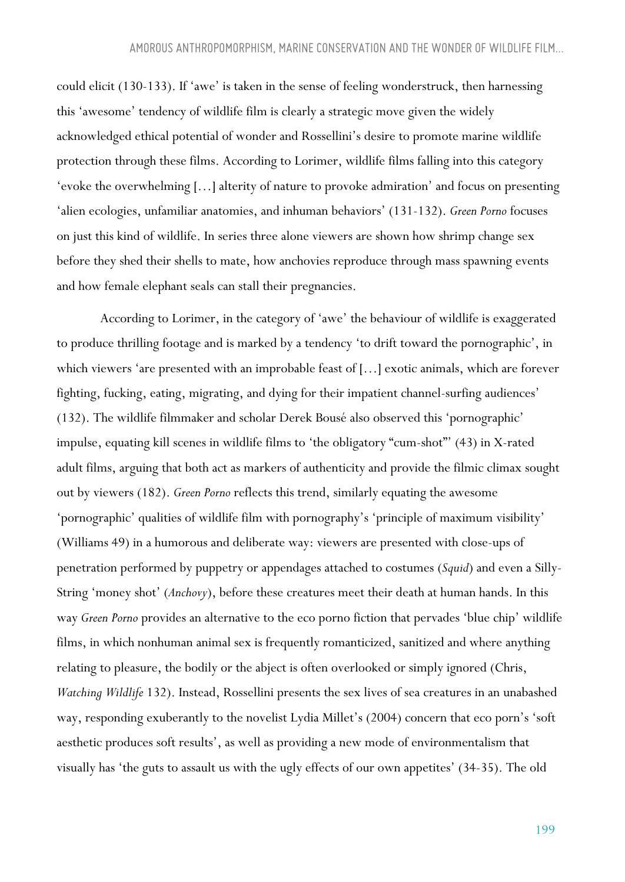could elicit (130-133). If 'awe' is taken in the sense of feeling wonderstruck, then harnessing this 'awesome' tendency of wildlife film is clearly a strategic move given the widely acknowledged ethical potential of wonder and Rossellini's desire to promote marine wildlife protection through these films. According to Lorimer, wildlife films falling into this category 'evoke the overwhelming […] alterity of nature to provoke admiration' and focus on presenting 'alien ecologies, unfamiliar anatomies, and inhuman behaviors' (131-132). *Green Porno* focuses on just this kind of wildlife. In series three alone viewers are shown how shrimp change sex before they shed their shells to mate, how anchovies reproduce through mass spawning events and how female elephant seals can stall their pregnancies.

According to Lorimer, in the category of 'awe' the behaviour of wildlife is exaggerated to produce thrilling footage and is marked by a tendency 'to drift toward the pornographic', in which viewers 'are presented with an improbable feast of […] exotic animals, which are forever fighting, fucking, eating, migrating, and dying for their impatient channel-surfing audiences' (132). The wildlife filmmaker and scholar Derek Bousé also observed this 'pornographic' impulse, equating kill scenes in wildlife films to 'the obligatory "cum-shot"' (43) in X-rated adult films, arguing that both act as markers of authenticity and provide the filmic climax sought out by viewers (182). *Green Porno* reflects this trend, similarly equating the awesome 'pornographic' qualities of wildlife film with pornography's 'principle of maximum visibility' (Williams 49) in a humorous and deliberate way: viewers are presented with close-ups of penetration performed by puppetry or appendages attached to costumes (*Squid*) and even a Silly-String 'money shot' (*Anchovy*), before these creatures meet their death at human hands. In this way *Green Porno* provides an alternative to the eco porno fiction that pervades 'blue chip' wildlife films, in which nonhuman animal sex is frequently romanticized, sanitized and where anything relating to pleasure, the bodily or the abject is often overlooked or simply ignored (Chris, *Watching Wildlife* 132). Instead, Rossellini presents the sex lives of sea creatures in an unabashed way, responding exuberantly to the novelist Lydia Millet's (2004) concern that eco porn's 'soft aesthetic produces soft results', as well as providing a new mode of environmentalism that visually has 'the guts to assault us with the ugly effects of our own appetites' (34-35). The old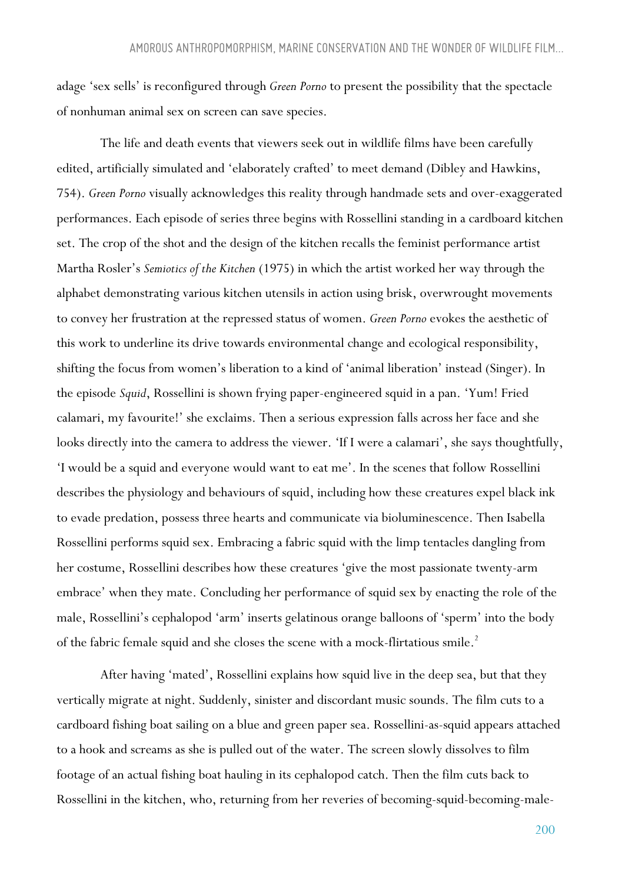adage 'sex sells' is reconfigured through *Green Porno* to present the possibility that the spectacle of nonhuman animal sex on screen can save species.

The life and death events that viewers seek out in wildlife films have been carefully edited, artificially simulated and 'elaborately crafted' to meet demand (Dibley and Hawkins, 754). *Green Porno* visually acknowledges this reality through handmade sets and over-exaggerated performances. Each episode of series three begins with Rossellini standing in a cardboard kitchen set. The crop of the shot and the design of the kitchen recalls the feminist performance artist Martha Rosler's *Semiotics of the Kitchen* (1975) in which the artist worked her way through the alphabet demonstrating various kitchen utensils in action using brisk, overwrought movements to convey her frustration at the repressed status of women. *Green Porno* evokes the aesthetic of this work to underline its drive towards environmental change and ecological responsibility, shifting the focus from women's liberation to a kind of 'animal liberation' instead (Singer). In the episode *Squid*, Rossellini is shown frying paper-engineered squid in a pan. 'Yum! Fried calamari, my favourite!' she exclaims. Then a serious expression falls across her face and she looks directly into the camera to address the viewer. 'If I were a calamari', she says thoughtfully, 'I would be a squid and everyone would want to eat me'. In the scenes that follow Rossellini describes the physiology and behaviours of squid, including how these creatures expel black ink to evade predation, possess three hearts and communicate via bioluminescence. Then Isabella Rossellini performs squid sex. Embracing a fabric squid with the limp tentacles dangling from her costume, Rossellini describes how these creatures 'give the most passionate twenty-arm embrace' when they mate. Concluding her performance of squid sex by enacting the role of the male, Rossellini's cephalopod 'arm' inserts gelatinous orange balloons of 'sperm' into the body of the fabric female squid and she closes the scene with a mock-flirtatious smile.<sup>2</sup>

After having 'mated', Rossellini explains how squid live in the deep sea, but that they vertically migrate at night. Suddenly, sinister and discordant music sounds. The film cuts to a cardboard fishing boat sailing on a blue and green paper sea. Rossellini-as-squid appears attached to a hook and screams as she is pulled out of the water. The screen slowly dissolves to film footage of an actual fishing boat hauling in its cephalopod catch. Then the film cuts back to Rossellini in the kitchen, who, returning from her reveries of becoming-squid-becoming-male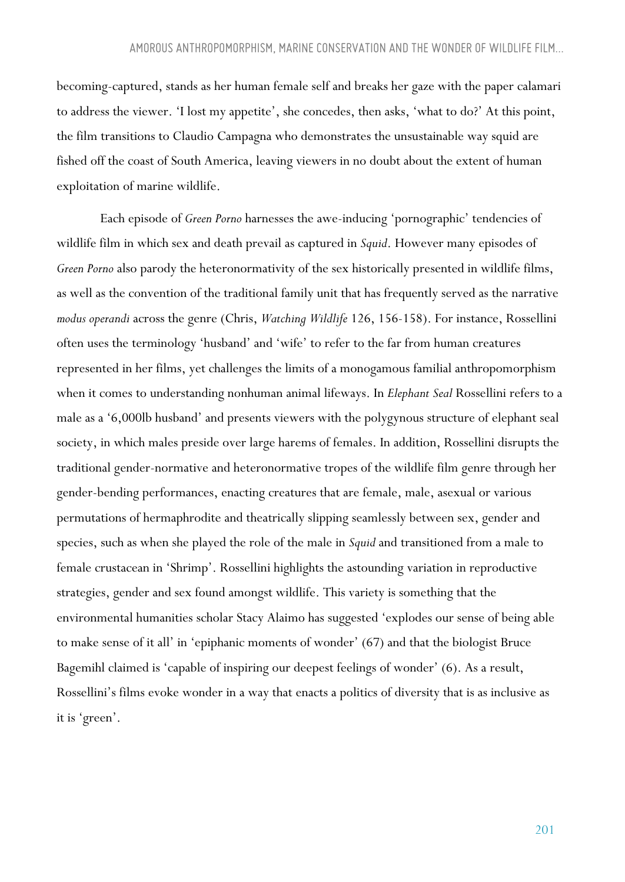becoming-captured, stands as her human female self and breaks her gaze with the paper calamari to address the viewer. 'I lost my appetite', she concedes, then asks, 'what to do?' At this point, the film transitions to Claudio Campagna who demonstrates the unsustainable way squid are fished off the coast of South America, leaving viewers in no doubt about the extent of human exploitation of marine wildlife.

Each episode of *Green Porno* harnesses the awe-inducing 'pornographic' tendencies of wildlife film in which sex and death prevail as captured in *Squid*. However many episodes of *Green Porno* also parody the heteronormativity of the sex historically presented in wildlife films, as well as the convention of the traditional family unit that has frequently served as the narrative *modus operandi* across the genre (Chris, *Watching Wildlife* 126, 156-158). For instance, Rossellini often uses the terminology 'husband' and 'wife' to refer to the far from human creatures represented in her films, yet challenges the limits of a monogamous familial anthropomorphism when it comes to understanding nonhuman animal lifeways. In *Elephant Seal* Rossellini refers to a male as a '6,000lb husband' and presents viewers with the polygynous structure of elephant seal society, in which males preside over large harems of females. In addition, Rossellini disrupts the traditional gender-normative and heteronormative tropes of the wildlife film genre through her gender-bending performances, enacting creatures that are female, male, asexual or various permutations of hermaphrodite and theatrically slipping seamlessly between sex, gender and species, such as when she played the role of the male in *Squid* and transitioned from a male to female crustacean in 'Shrimp'. Rossellini highlights the astounding variation in reproductive strategies, gender and sex found amongst wildlife. This variety is something that the environmental humanities scholar Stacy Alaimo has suggested 'explodes our sense of being able to make sense of it all' in 'epiphanic moments of wonder' (67) and that the biologist Bruce Bagemihl claimed is 'capable of inspiring our deepest feelings of wonder' (6). As a result, Rossellini's films evoke wonder in a way that enacts a politics of diversity that is as inclusive as it is 'green'.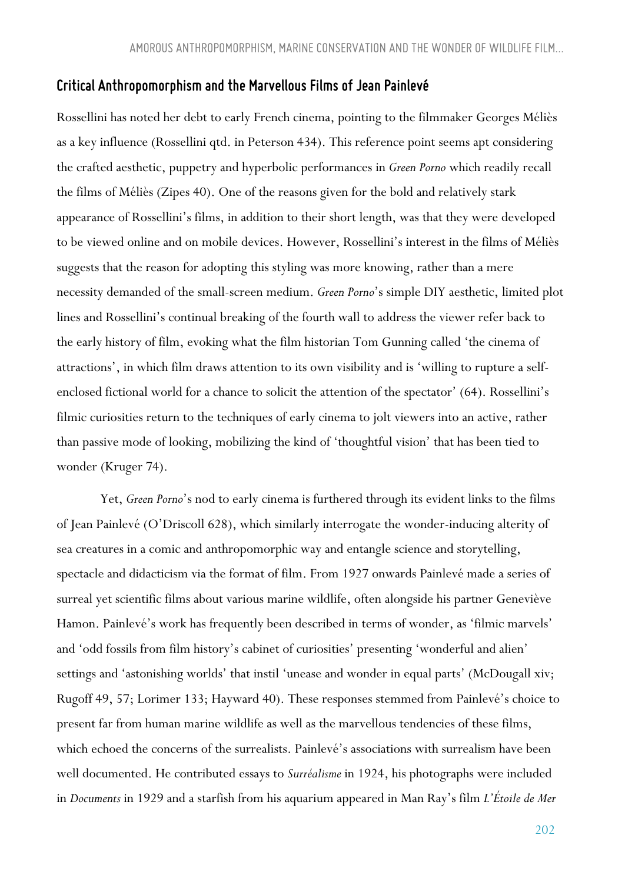#### *Critical Anthropomorphism and the Marvellous Films of Jean Painlevé*

Rossellini has noted her debt to early French cinema, pointing to the filmmaker Georges Méliès as a key influence (Rossellini qtd. in Peterson 434). This reference point seems apt considering the crafted aesthetic, puppetry and hyperbolic performances in *Green Porno* which readily recall the films of Méliès (Zipes 40). One of the reasons given for the bold and relatively stark appearance of Rossellini's films, in addition to their short length, was that they were developed to be viewed online and on mobile devices. However, Rossellini's interest in the films of Méliès suggests that the reason for adopting this styling was more knowing, rather than a mere necessity demanded of the small-screen medium. *Green Porno*'s simple DIY aesthetic, limited plot lines and Rossellini's continual breaking of the fourth wall to address the viewer refer back to the early history of film, evoking what the film historian Tom Gunning called 'the cinema of attractions', in which film draws attention to its own visibility and is 'willing to rupture a selfenclosed fictional world for a chance to solicit the attention of the spectator' (64). Rossellini's filmic curiosities return to the techniques of early cinema to jolt viewers into an active, rather than passive mode of looking, mobilizing the kind of 'thoughtful vision' that has been tied to wonder (Kruger 74).

Yet, *Green Porno*'s nod to early cinema is furthered through its evident links to the films of Jean Painlevé (O'Driscoll 628), which similarly interrogate the wonder-inducing alterity of sea creatures in a comic and anthropomorphic way and entangle science and storytelling, spectacle and didacticism via the format of film. From 1927 onwards Painlevé made a series of surreal yet scientific films about various marine wildlife, often alongside his partner Geneviève Hamon. Painlevé's work has frequently been described in terms of wonder, as 'filmic marvels' and 'odd fossils from film history's cabinet of curiosities' presenting 'wonderful and alien' settings and 'astonishing worlds' that instil 'unease and wonder in equal parts' (McDougall xiv; Rugoff 49, 57; Lorimer 133; Hayward 40). These responses stemmed from Painlevé's choice to present far from human marine wildlife as well as the marvellous tendencies of these films, which echoed the concerns of the surrealists. Painlevé's associations with surrealism have been well documented. He contributed essays to *Surréalisme* in 1924, his photographs were included in *Documents* in 1929 and a starfish from his aquarium appeared in Man Ray's film *L'Étoile de Mer*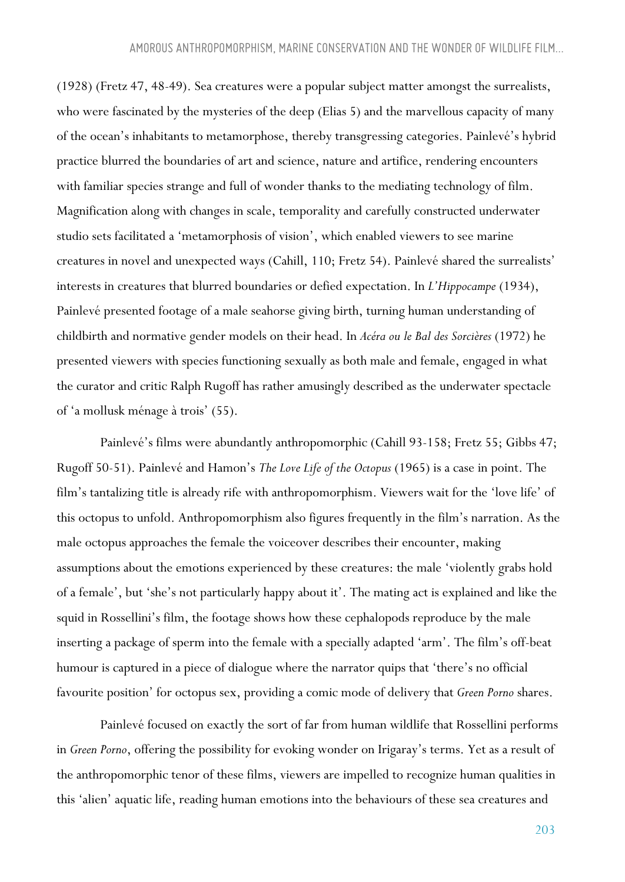(1928) (Fretz 47, 48-49). Sea creatures were a popular subject matter amongst the surrealists, who were fascinated by the mysteries of the deep (Elias 5) and the marvellous capacity of many of the ocean's inhabitants to metamorphose, thereby transgressing categories. Painlevé's hybrid practice blurred the boundaries of art and science, nature and artifice, rendering encounters with familiar species strange and full of wonder thanks to the mediating technology of film. Magnification along with changes in scale, temporality and carefully constructed underwater studio sets facilitated a 'metamorphosis of vision', which enabled viewers to see marine creatures in novel and unexpected ways (Cahill, 110; Fretz 54). Painlevé shared the surrealists' interests in creatures that blurred boundaries or defied expectation. In *L'Hippocampe* (1934), Painlevé presented footage of a male seahorse giving birth, turning human understanding of childbirth and normative gender models on their head. In *Acéra ou le Bal des Sorcières* (1972) he presented viewers with species functioning sexually as both male and female, engaged in what the curator and critic Ralph Rugoff has rather amusingly described as the underwater spectacle of 'a mollusk ménage à trois' (55).

Painlevé's films were abundantly anthropomorphic (Cahill 93-158; Fretz 55; Gibbs 47; Rugoff 50-51). Painlevé and Hamon's *The Love Life of the Octopus* (1965) is a case in point. The film's tantalizing title is already rife with anthropomorphism. Viewers wait for the 'love life' of this octopus to unfold. Anthropomorphism also figures frequently in the film's narration. As the male octopus approaches the female the voiceover describes their encounter, making assumptions about the emotions experienced by these creatures: the male 'violently grabs hold of a female', but 'she's not particularly happy about it'. The mating act is explained and like the squid in Rossellini's film, the footage shows how these cephalopods reproduce by the male inserting a package of sperm into the female with a specially adapted 'arm'. The film's off-beat humour is captured in a piece of dialogue where the narrator quips that 'there's no official favourite position' for octopus sex, providing a comic mode of delivery that *Green Porno* shares.

Painlevé focused on exactly the sort of far from human wildlife that Rossellini performs in *Green Porno*, offering the possibility for evoking wonder on Irigaray's terms. Yet as a result of the anthropomorphic tenor of these films, viewers are impelled to recognize human qualities in this 'alien' aquatic life, reading human emotions into the behaviours of these sea creatures and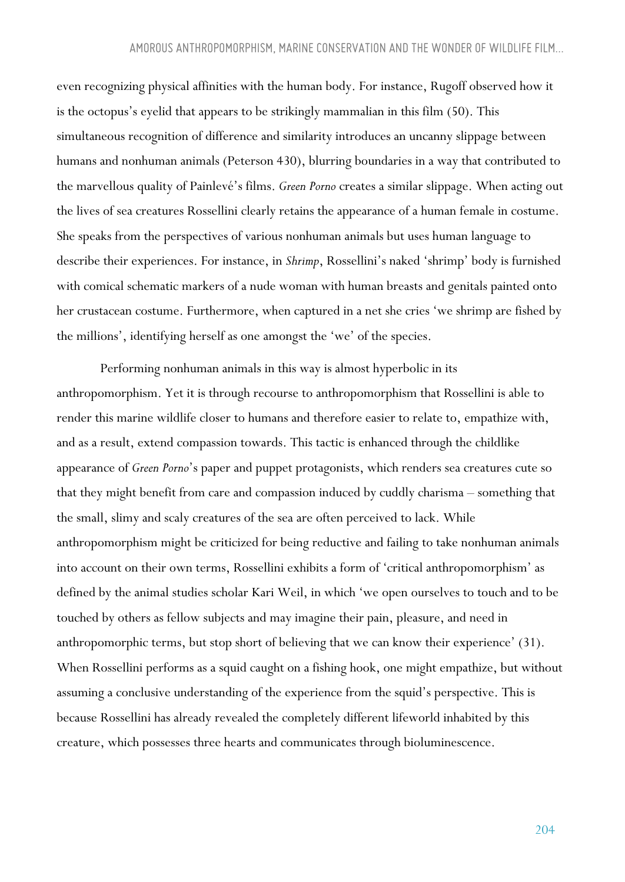even recognizing physical affinities with the human body. For instance, Rugoff observed how it is the octopus's eyelid that appears to be strikingly mammalian in this film (50). This simultaneous recognition of difference and similarity introduces an uncanny slippage between humans and nonhuman animals (Peterson 430), blurring boundaries in a way that contributed to the marvellous quality of Painlevé's films. *Green Porno* creates a similar slippage. When acting out the lives of sea creatures Rossellini clearly retains the appearance of a human female in costume. She speaks from the perspectives of various nonhuman animals but uses human language to describe their experiences. For instance, in *Shrimp*, Rossellini's naked 'shrimp' body is furnished with comical schematic markers of a nude woman with human breasts and genitals painted onto her crustacean costume. Furthermore, when captured in a net she cries 'we shrimp are fished by the millions', identifying herself as one amongst the 'we' of the species.

Performing nonhuman animals in this way is almost hyperbolic in its anthropomorphism. Yet it is through recourse to anthropomorphism that Rossellini is able to render this marine wildlife closer to humans and therefore easier to relate to, empathize with, and as a result, extend compassion towards. This tactic is enhanced through the childlike appearance of *Green Porno*'s paper and puppet protagonists, which renders sea creatures cute so that they might benefit from care and compassion induced by cuddly charisma – something that the small, slimy and scaly creatures of the sea are often perceived to lack. While anthropomorphism might be criticized for being reductive and failing to take nonhuman animals into account on their own terms, Rossellini exhibits a form of 'critical anthropomorphism' as defined by the animal studies scholar Kari Weil, in which 'we open ourselves to touch and to be touched by others as fellow subjects and may imagine their pain, pleasure, and need in anthropomorphic terms, but stop short of believing that we can know their experience' (31). When Rossellini performs as a squid caught on a fishing hook, one might empathize, but without assuming a conclusive understanding of the experience from the squid's perspective. This is because Rossellini has already revealed the completely different lifeworld inhabited by this creature, which possesses three hearts and communicates through bioluminescence.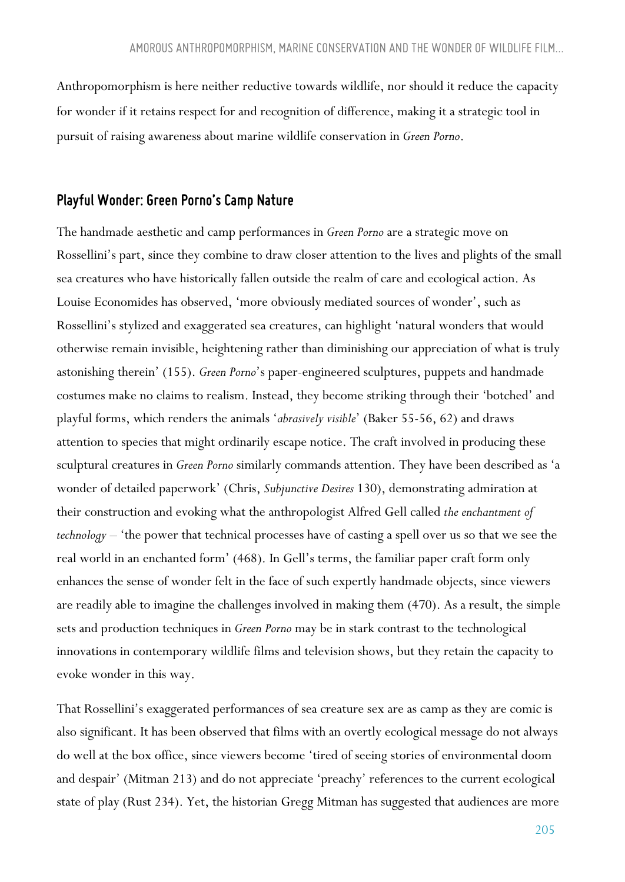Anthropomorphism is here neither reductive towards wildlife, nor should it reduce the capacity for wonder if it retains respect for and recognition of difference, making it a strategic tool in pursuit of raising awareness about marine wildlife conservation in *Green Porno*.

### *Playful Wonder: Green Porno's Camp Nature*

The handmade aesthetic and camp performances in *Green Porno* are a strategic move on Rossellini's part, since they combine to draw closer attention to the lives and plights of the small sea creatures who have historically fallen outside the realm of care and ecological action. As Louise Economides has observed, 'more obviously mediated sources of wonder', such as Rossellini's stylized and exaggerated sea creatures, can highlight 'natural wonders that would otherwise remain invisible, heightening rather than diminishing our appreciation of what is truly astonishing therein' (155). *Green Porno*'s paper-engineered sculptures, puppets and handmade costumes make no claims to realism. Instead, they become striking through their 'botched' and playful forms, which renders the animals '*abrasively visible*' (Baker 55-56, 62) and draws attention to species that might ordinarily escape notice. The craft involved in producing these sculptural creatures in *Green Porno* similarly commands attention. They have been described as 'a wonder of detailed paperwork' (Chris, *Subjunctive Desires* 130), demonstrating admiration at their construction and evoking what the anthropologist Alfred Gell called *the enchantment of technology –* 'the power that technical processes have of casting a spell over us so that we see the real world in an enchanted form' (468). In Gell's terms, the familiar paper craft form only enhances the sense of wonder felt in the face of such expertly handmade objects, since viewers are readily able to imagine the challenges involved in making them (470). As a result, the simple sets and production techniques in *Green Porno* may be in stark contrast to the technological innovations in contemporary wildlife films and television shows, but they retain the capacity to evoke wonder in this way.

That Rossellini's exaggerated performances of sea creature sex are as camp as they are comic is also significant. It has been observed that films with an overtly ecological message do not always do well at the box office, since viewers become 'tired of seeing stories of environmental doom and despair' (Mitman 213) and do not appreciate 'preachy' references to the current ecological state of play (Rust 234). Yet, the historian Gregg Mitman has suggested that audiences are more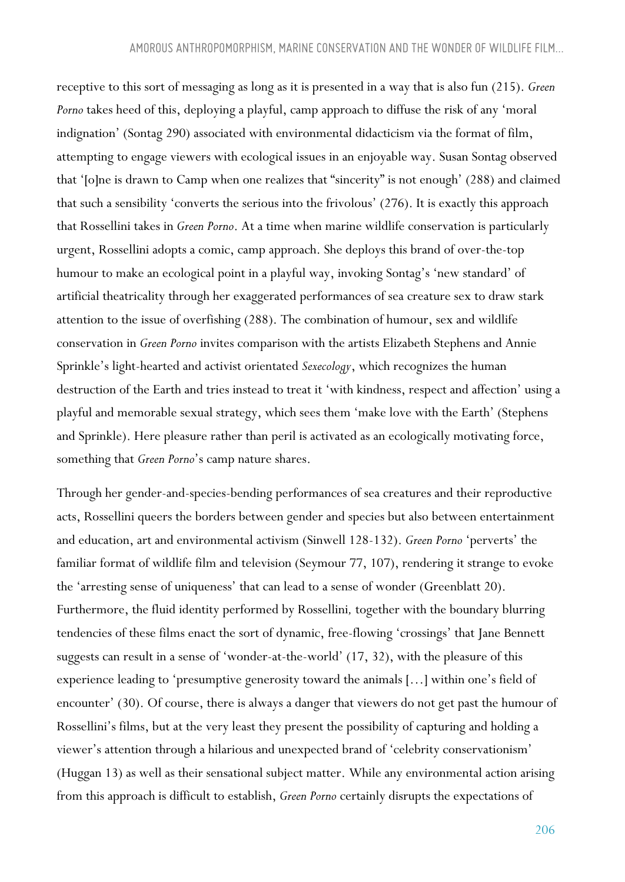receptive to this sort of messaging as long as it is presented in a way that is also fun (215). *Green Porno* takes heed of this, deploying a playful, camp approach to diffuse the risk of any 'moral indignation' (Sontag 290) associated with environmental didacticism via the format of film, attempting to engage viewers with ecological issues in an enjoyable way. Susan Sontag observed that '[o]ne is drawn to Camp when one realizes that "sincerity" is not enough' (288) and claimed that such a sensibility 'converts the serious into the frivolous' (276). It is exactly this approach that Rossellini takes in *Green Porno*. At a time when marine wildlife conservation is particularly urgent, Rossellini adopts a comic, camp approach. She deploys this brand of over-the-top humour to make an ecological point in a playful way, invoking Sontag's 'new standard' of artificial theatricality through her exaggerated performances of sea creature sex to draw stark attention to the issue of overfishing (288). The combination of humour, sex and wildlife conservation in *Green Porno* invites comparison with the artists Elizabeth Stephens and Annie Sprinkle's light-hearted and activist orientated *Sexecology*, which recognizes the human destruction of the Earth and tries instead to treat it 'with kindness, respect and affection' using a playful and memorable sexual strategy, which sees them 'make love with the Earth' (Stephens and Sprinkle). Here pleasure rather than peril is activated as an ecologically motivating force, something that *Green Porno*'s camp nature shares.

Through her gender-and-species-bending performances of sea creatures and their reproductive acts, Rossellini queers the borders between gender and species but also between entertainment and education, art and environmental activism (Sinwell 128-132). *Green Porno* 'perverts' the familiar format of wildlife film and television (Seymour 77, 107), rendering it strange to evoke the 'arresting sense of uniqueness' that can lead to a sense of wonder (Greenblatt 20). Furthermore, the fluid identity performed by Rossellini*,* together with the boundary blurring tendencies of these films enact the sort of dynamic, free-flowing 'crossings' that Jane Bennett suggests can result in a sense of 'wonder-at-the-world' (17, 32), with the pleasure of this experience leading to 'presumptive generosity toward the animals […] within one's field of encounter' (30). Of course, there is always a danger that viewers do not get past the humour of Rossellini's films, but at the very least they present the possibility of capturing and holding a viewer's attention through a hilarious and unexpected brand of 'celebrity conservationism' (Huggan 13) as well as their sensational subject matter. While any environmental action arising from this approach is difficult to establish, *Green Porno* certainly disrupts the expectations of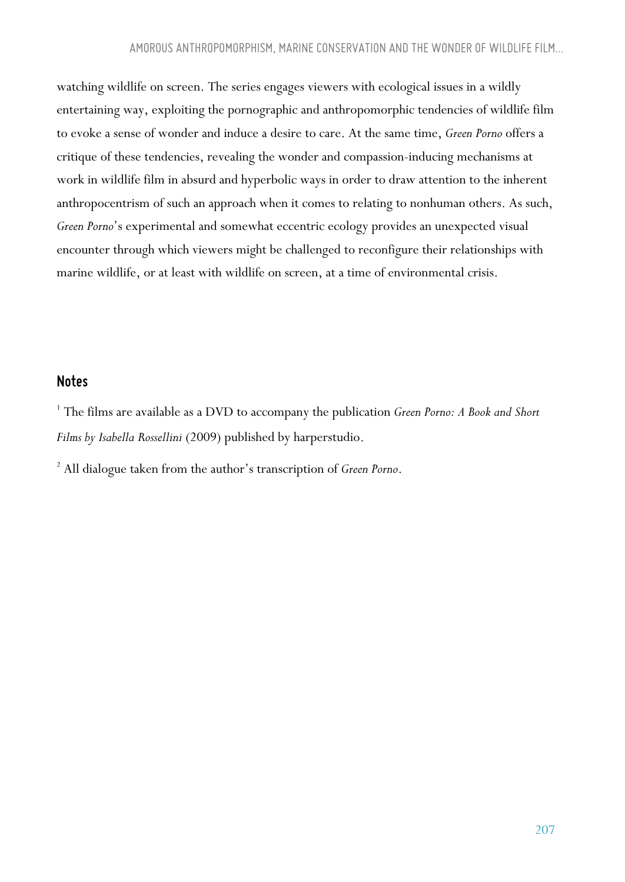watching wildlife on screen. The series engages viewers with ecological issues in a wildly entertaining way, exploiting the pornographic and anthropomorphic tendencies of wildlife film to evoke a sense of wonder and induce a desire to care. At the same time, *Green Porno* offers a critique of these tendencies, revealing the wonder and compassion-inducing mechanisms at work in wildlife film in absurd and hyperbolic ways in order to draw attention to the inherent anthropocentrism of such an approach when it comes to relating to nonhuman others. As such, *Green Porno*'s experimental and somewhat eccentric ecology provides an unexpected visual encounter through which viewers might be challenged to reconfigure their relationships with marine wildlife, or at least with wildlife on screen, at a time of environmental crisis.

### *Notes*

<sup>1</sup> The films are available as a DVD to accompany the publication *Green Porno: A Book and Short Films by Isabella Rossellini* (2009) published by harperstudio.

<sup>2</sup> All dialogue taken from the author's transcription of *Green Porno*.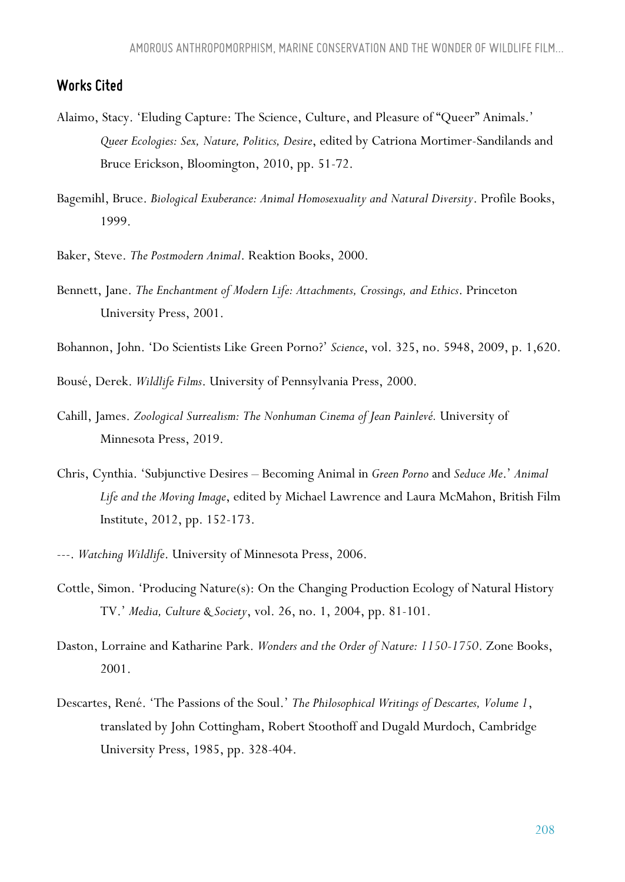### *Works Cited*

- Alaimo, Stacy. 'Eluding Capture: The Science, Culture, and Pleasure of "Queer" Animals.' *Queer Ecologies: Sex, Nature, Politics, Desire*, edited by Catriona Mortimer-Sandilands and Bruce Erickson, Bloomington, 2010, pp. 51-72.
- Bagemihl, Bruce. *Biological Exuberance: Animal Homosexuality and Natural Diversity*. Profile Books, 1999.
- Baker, Steve. *The Postmodern Animal*. Reaktion Books, 2000.
- Bennett, Jane. *The Enchantment of Modern Life: Attachments, Crossings, and Ethics*. Princeton University Press, 2001.
- Bohannon, John. 'Do Scientists Like Green Porno?' *Science*, vol. 325, no. 5948, 2009, p. 1,620.

Bousé, Derek. *Wildlife Films*. University of Pennsylvania Press, 2000.

- Cahill, James. *Zoological Surrealism: The Nonhuman Cinema of Jean Painlevé.* University of Minnesota Press, 2019.
- Chris, Cynthia. 'Subjunctive Desires Becoming Animal in *Green Porno* and *Seduce Me*.' *Animal Life and the Moving Image*, edited by Michael Lawrence and Laura McMahon, British Film Institute, 2012, pp. 152-173.
- ---. *Watching Wildlife*. University of Minnesota Press, 2006.
- Cottle, Simon. 'Producing Nature(s): On the Changing Production Ecology of Natural History TV.' *Media, Culture & Society*, vol. 26, no. 1, 2004, pp. 81-101.
- Daston, Lorraine and Katharine Park. *Wonders and the Order of Nature: 1150-1750*. Zone Books, 2001.
- Descartes, René. 'The Passions of the Soul.' *The Philosophical Writings of Descartes, Volume 1*, translated by John Cottingham, Robert Stoothoff and Dugald Murdoch, Cambridge University Press, 1985, pp. 328-404.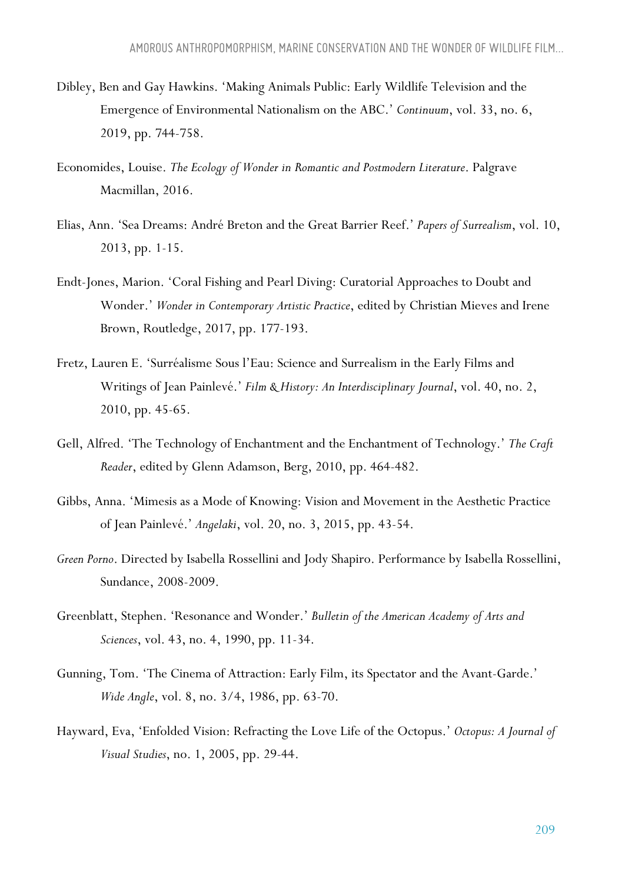- Dibley, Ben and Gay Hawkins. 'Making Animals Public: Early Wildlife Television and the Emergence of Environmental Nationalism on the ABC.' *Continuum*, vol. 33, no. 6, 2019, pp. 744-758.
- Economides, Louise. *The Ecology of Wonder in Romantic and Postmodern Literature*. Palgrave Macmillan, 2016.
- Elias, Ann. 'Sea Dreams: André Breton and the Great Barrier Reef.' *Papers of Surrealism*, vol. 10, 2013, pp. 1-15.
- Endt-Jones, Marion. 'Coral Fishing and Pearl Diving: Curatorial Approaches to Doubt and Wonder.' *Wonder in Contemporary Artistic Practice*, edited by Christian Mieves and Irene Brown, Routledge, 2017, pp. 177-193.
- Fretz, Lauren E. 'Surréalisme Sous l'Eau: Science and Surrealism in the Early Films and Writings of Jean Painlevé.' *Film & History: An Interdisciplinary Journal*, vol. 40, no. 2, 2010, pp. 45-65.
- Gell, Alfred. 'The Technology of Enchantment and the Enchantment of Technology.' *The Craft Reader*, edited by Glenn Adamson, Berg, 2010, pp. 464-482.
- Gibbs, Anna. 'Mimesis as a Mode of Knowing: Vision and Movement in the Aesthetic Practice of Jean Painlevé.' *Angelaki*, vol. 20, no. 3, 2015, pp. 43-54.
- *Green Porno*. Directed by Isabella Rossellini and Jody Shapiro. Performance by Isabella Rossellini, Sundance, 2008-2009.
- Greenblatt, Stephen. 'Resonance and Wonder.' *Bulletin of the American Academy of Arts and Sciences*, vol. 43, no. 4, 1990, pp. 11-34.
- Gunning, Tom. 'The Cinema of Attraction: Early Film, its Spectator and the Avant-Garde.' *Wide Angle*, vol. 8, no. 3/4, 1986, pp. 63-70.
- Hayward, Eva, 'Enfolded Vision: Refracting the Love Life of the Octopus.' *Octopus: A Journal of Visual Studies*, no. 1, 2005, pp. 29-44.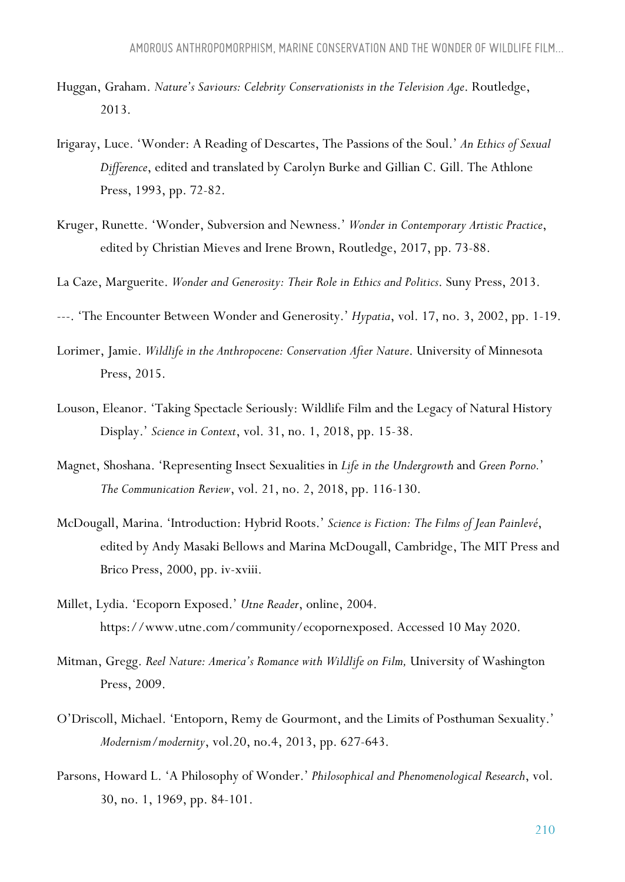- Huggan, Graham. *Nature's Saviours: Celebrity Conservationists in the Television Age*. Routledge, 2013.
- Irigaray, Luce. 'Wonder: A Reading of Descartes, The Passions of the Soul.' *An Ethics of Sexual Difference*, edited and translated by Carolyn Burke and Gillian C. Gill. The Athlone Press, 1993, pp. 72-82.
- Kruger, Runette. 'Wonder, Subversion and Newness.' *Wonder in Contemporary Artistic Practice*, edited by Christian Mieves and Irene Brown, Routledge, 2017, pp. 73-88.
- La Caze, Marguerite. *Wonder and Generosity: Their Role in Ethics and Politics*. Suny Press, 2013.
- ---. 'The Encounter Between Wonder and Generosity.' *Hypatia*, vol. 17, no. 3, 2002, pp. 1-19.
- Lorimer, Jamie. *Wildlife in the Anthropocene: Conservation After Nature*. University of Minnesota Press, 2015.
- Louson, Eleanor. 'Taking Spectacle Seriously: Wildlife Film and the Legacy of Natural History Display.' *Science in Context*, vol. 31, no. 1, 2018, pp. 15-38.
- Magnet, Shoshana. 'Representing Insect Sexualities in *Life in the Undergrowth* and *Green Porno.*' *The Communication Review*, vol. 21, no. 2, 2018, pp. 116-130.
- McDougall, Marina. 'Introduction: Hybrid Roots.' *Science is Fiction: The Films of Jean Painlevé*, edited by Andy Masaki Bellows and Marina McDougall, Cambridge, The MIT Press and Brico Press, 2000, pp. iv-xviii.
- Millet, Lydia. 'Ecoporn Exposed.' *Utne Reader*, online, 2004. https://www.utne.com/community/ecopornexposed. Accessed 10 May 2020.
- Mitman, Gregg. *Reel Nature: America's Romance with Wildlife on Film,* University of Washington Press, 2009.
- O'Driscoll, Michael. 'Entoporn, Remy de Gourmont, and the Limits of Posthuman Sexuality.' *Modernism/modernity*, vol.20, no.4, 2013, pp. 627-643.
- Parsons, Howard L. 'A Philosophy of Wonder.' *Philosophical and Phenomenological Research*, vol. 30, no. 1, 1969, pp. 84-101.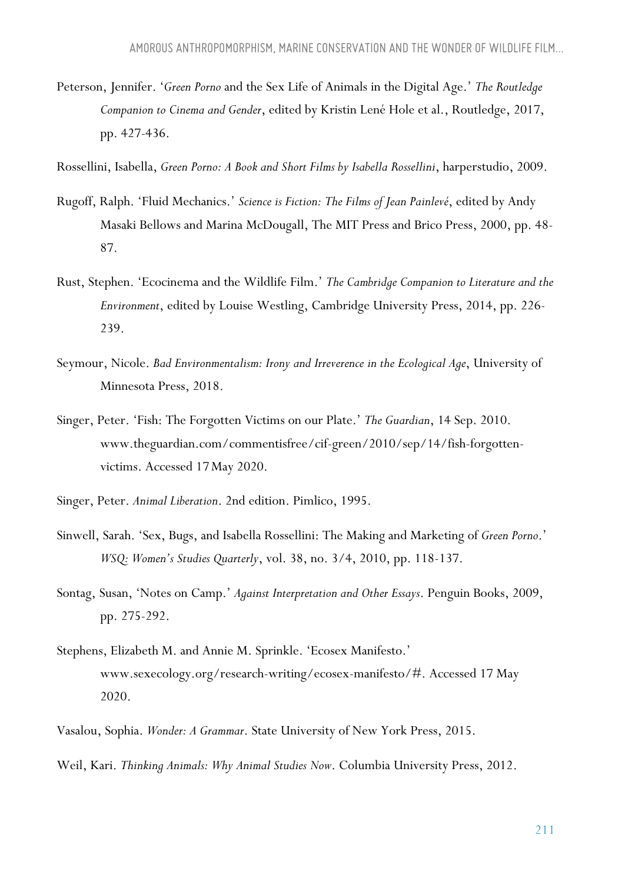Peterson, Jennifer. '*Green Porno* and the Sex Life of Animals in the Digital Age.' *The Routledge Companion to Cinema and Gender*, edited by Kristin Lené Hole et al., Routledge, 2017, pp. 427-436.

Rossellini, Isabella, *Green Porno: A Book and Short Films by Isabella Rossellini*, harperstudio, 2009.

- Rugoff, Ralph. 'Fluid Mechanics.' *Science is Fiction: The Films of Jean Painlevé*, edited by Andy Masaki Bellows and Marina McDougall, The MIT Press and Brico Press, 2000, pp. 48- 87.
- Rust, Stephen. 'Ecocinema and the Wildlife Film.' *The Cambridge Companion to Literature and the Environment*, edited by Louise Westling, Cambridge University Press, 2014, pp. 226- 239.
- Seymour, Nicole. *Bad Environmentalism: Irony and Irreverence in the Ecological Age*, University of Minnesota Press, 2018.
- Singer, Peter. 'Fish: The Forgotten Victims on our Plate.' *The Guardian*, 14 Sep. 2010. www.theguardian.com/commentisfree/cif-green/2010/sep/14/fish-forgottenvictims. Accessed 17May 2020.
- Singer, Peter. *Animal Liberation*. 2nd edition. Pimlico, 1995.
- Sinwell, Sarah. 'Sex, Bugs, and Isabella Rossellini: The Making and Marketing of *Green Porno*.' *WSQ: Women's Studies Quarterly*, vol. 38, no. 3/4, 2010, pp. 118-137.
- Sontag, Susan, 'Notes on Camp.' *Against Interpretation and Other Essays*. Penguin Books, 2009, pp. 275-292.
- Stephens, Elizabeth M. and Annie M. Sprinkle. 'Ecosex Manifesto.' www.sexecology.org/research-writing/ecosex-manifesto/#. Accessed 17 May 2020.
- Vasalou, Sophia. *Wonder: A Grammar*. State University of New York Press, 2015.
- Weil, Kari. *Thinking Animals: Why Animal Studies Now*. Columbia University Press, 2012.